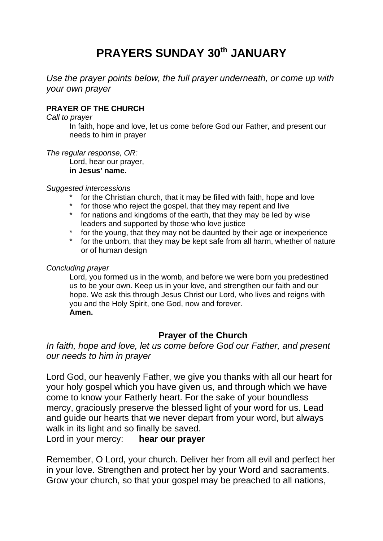# **PRAYERS SUNDAY 30th JANUARY**

*Use the prayer points below, the full prayer underneath, or come up with your own prayer*

## **PRAYER OF THE CHURCH**

#### *Call to prayer*

In faith, hope and love, let us come before God our Father, and present our needs to him in prayer

*The regular response, OR:*

Lord, hear our prayer,

#### **in Jesus' name.**

#### *Suggested intercessions*

- \* for the Christian church, that it may be filled with faith, hope and love<br>\* for those who reject the gospel, that they may repent and live
- for those who reject the gospel, that they may repent and live
- \* for nations and kingdoms of the earth, that they may be led by wise leaders and supported by those who love justice
- \* for the young, that they may not be daunted by their age or inexperience
- \* for the unborn, that they may be kept safe from all harm, whether of nature or of human design

#### *Concluding prayer*

Lord, you formed us in the womb, and before we were born you predestined us to be your own. Keep us in your love, and strengthen our faith and our hope. We ask this through Jesus Christ our Lord, who lives and reigns with you and the Holy Spirit, one God, now and forever. **Amen.**

# **Prayer of the Church**

## *In faith, hope and love, let us come before God our Father, and present our needs to him in prayer*

Lord God, our heavenly Father, we give you thanks with all our heart for your holy gospel which you have given us, and through which we have come to know your Fatherly heart. For the sake of your boundless mercy, graciously preserve the blessed light of your word for us. Lead and guide our hearts that we never depart from your word, but always walk in its light and so finally be saved.

Lord in your mercy: **hear our prayer**

Remember, O Lord, your church. Deliver her from all evil and perfect her in your love. Strengthen and protect her by your Word and sacraments. Grow your church, so that your gospel may be preached to all nations,